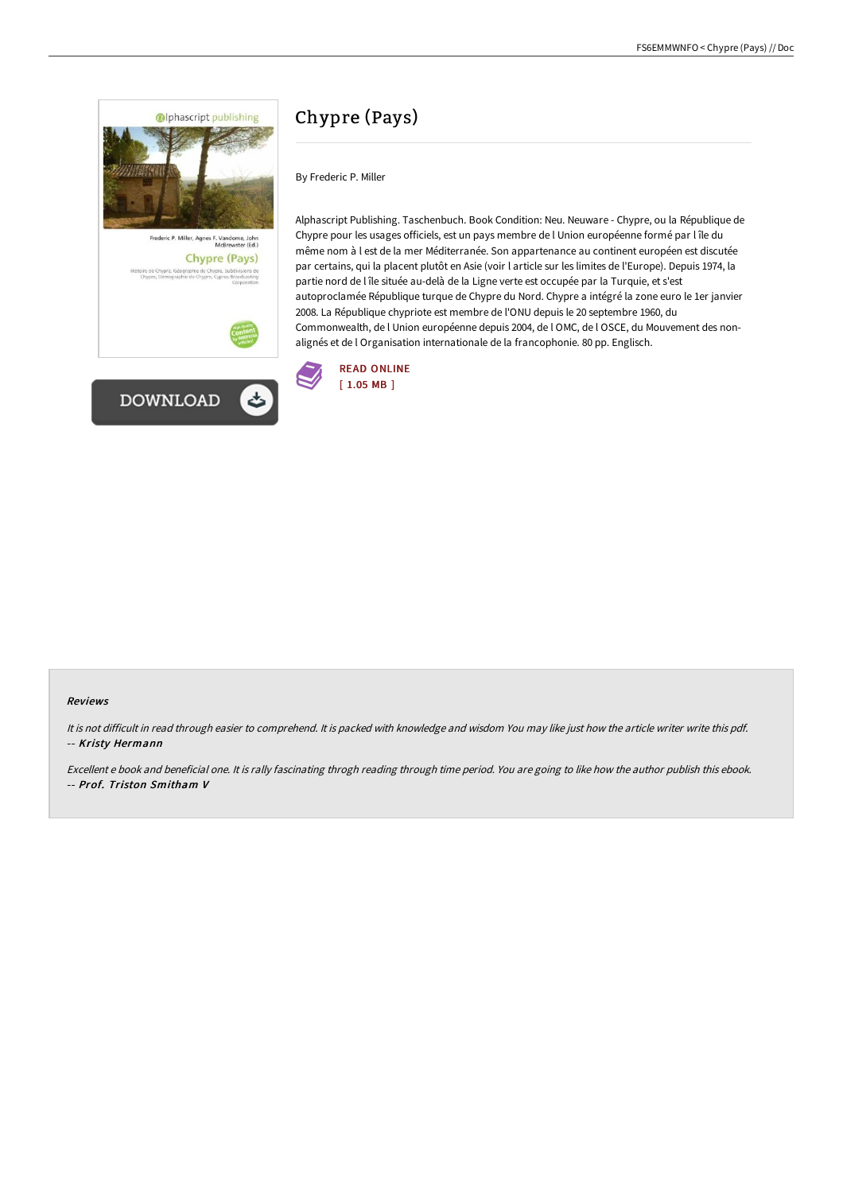





# Chypre (Pays)

By Frederic P. Miller

Alphascript Publishing. Taschenbuch. Book Condition: Neu. Neuware - Chypre, ou la République de Chypre pour les usages officiels, est un pays membre de l Union européenne formé par l île du même nom à l est de la mer Méditerranée. Son appartenance au continent européen est discutée par certains, qui la placent plutôt en Asie (voir l article sur les limites de l'Europe). Depuis 1974, la partie nord de l île située au-delà de la Ligne verte est occupée par la Turquie, et s'est autoproclamée République turque de Chypre du Nord. Chypre a intégré la zone euro le 1er janvier 2008. La République chypriote est membre de l'ONU depuis le 20 septembre 1960, du Commonwealth, de l Union européenne depuis 2004, de l OMC, de l OSCE, du Mouvement des nonalignés et de l Organisation internationale de la francophonie. 80 pp. Englisch.



### Reviews

It is not difficult in read through easier to comprehend. It is packed with knowledge and wisdom You may like just how the article writer write this pdf. -- Kristy Hermann

Excellent <sup>e</sup> book and beneficial one. It is rally fascinating throgh reading through time period. You are going to like how the author publish this ebook. -- Prof. Triston Smitham V